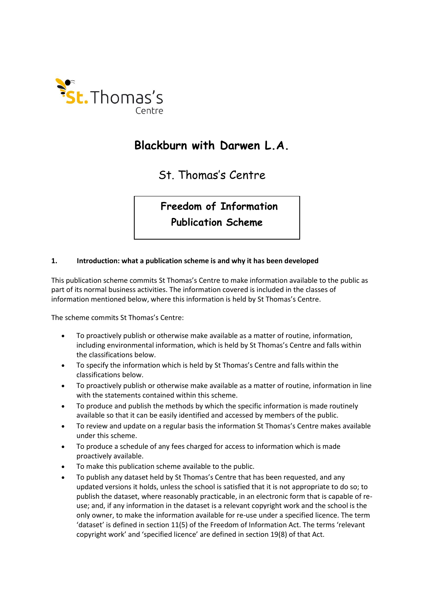

# **Blackburn with Darwen L.A.**

St. Thomas's Centre

**Freedom of Information** 

# **Publication Scheme**

#### **1. Introduction: what a publication scheme is and why it has been developed**

This publication scheme commits St Thomas's Centre to make information available to the public as part of its normal business activities. The information covered is included in the classes of information mentioned below, where this information is held by St Thomas's Centre.

The scheme commits St Thomas's Centre:

- To proactively publish or otherwise make available as a matter of routine, information, including environmental information, which is held by St Thomas's Centre and falls within the classifications below.
- To specify the information which is held by St Thomas's Centre and falls within the classifications below.
- To proactively publish or otherwise make available as a matter of routine, information in line with the statements contained within this scheme.
- To produce and publish the methods by which the specific information is made routinely available so that it can be easily identified and accessed by members of the public.
- To review and update on a regular basis the information St Thomas's Centre makes available under this scheme.
- To produce a schedule of any fees charged for access to information which is made proactively available.
- To make this publication scheme available to the public.
- To publish any dataset held by St Thomas's Centre that has been requested, and any updated versions it holds, unless the school is satisfied that it is not appropriate to do so; to publish the dataset, where reasonably practicable, in an electronic form that is capable of reuse; and, if any information in the dataset is a relevant copyright work and the school is the only owner, to make the information available for re-use under a specified licence. The term 'dataset' is defined in section 11(5) of the Freedom of Information Act. The terms 'relevant copyright work' and 'specified licence' are defined in section 19(8) of that Act.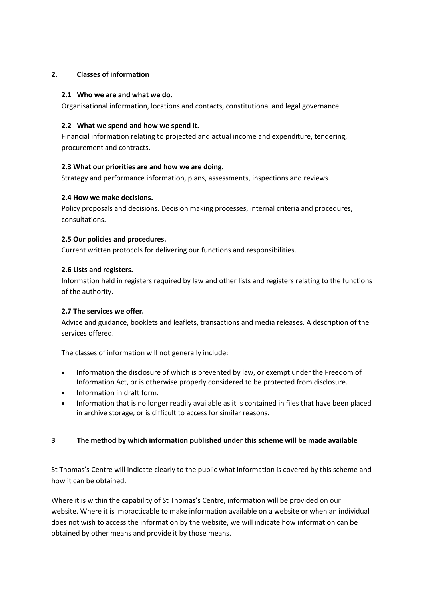#### **2. Classes of information**

#### **2.1 Who we are and what we do.**

Organisational information, locations and contacts, constitutional and legal governance.

#### **2.2 What we spend and how we spend it.**

Financial information relating to projected and actual income and expenditure, tendering, procurement and contracts.

# **2.3 What our priorities are and how we are doing.**

Strategy and performance information, plans, assessments, inspections and reviews.

# **2.4 How we make decisions.**

Policy proposals and decisions. Decision making processes, internal criteria and procedures, consultations.

#### **2.5 Our policies and procedures.**

Current written protocols for delivering our functions and responsibilities.

# **2.6 Lists and registers.**

Information held in registers required by law and other lists and registers relating to the functions of the authority.

# **2.7 The services we offer.**

Advice and guidance, booklets and leaflets, transactions and media releases. A description of the services offered.

The classes of information will not generally include:

- Information the disclosure of which is prevented by law, or exempt under the Freedom of Information Act, or is otherwise properly considered to be protected from disclosure.
- Information in draft form.
- Information that is no longer readily available as it is contained in files that have been placed in archive storage, or is difficult to access for similar reasons.

# **3 The method by which information published under this scheme will be made available**

St Thomas's Centre will indicate clearly to the public what information is covered by this scheme and how it can be obtained.

Where it is within the capability of St Thomas's Centre, information will be provided on our website. Where it is impracticable to make information available on a website or when an individual does not wish to access the information by the website, we will indicate how information can be obtained by other means and provide it by those means.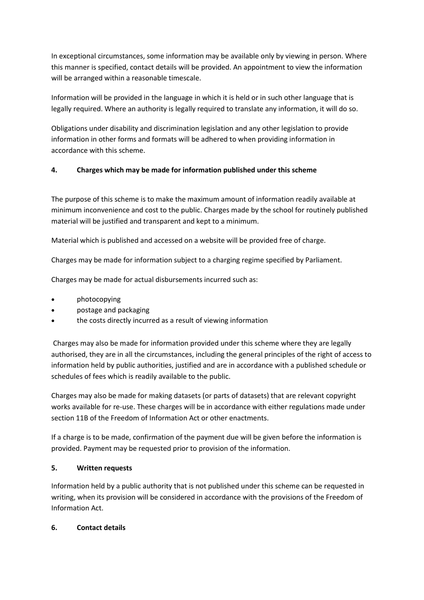In exceptional circumstances, some information may be available only by viewing in person. Where this manner is specified, contact details will be provided. An appointment to view the information will be arranged within a reasonable timescale.

Information will be provided in the language in which it is held or in such other language that is legally required. Where an authority is legally required to translate any information, it will do so.

Obligations under disability and discrimination legislation and any other legislation to provide information in other forms and formats will be adhered to when providing information in accordance with this scheme.

# **4. Charges which may be made for information published under this scheme**

The purpose of this scheme is to make the maximum amount of information readily available at minimum inconvenience and cost to the public. Charges made by the school for routinely published material will be justified and transparent and kept to a minimum.

Material which is published and accessed on a website will be provided free of charge.

Charges may be made for information subject to a charging regime specified by Parliament.

Charges may be made for actual disbursements incurred such as:

- photocopying
- postage and packaging
- the costs directly incurred as a result of viewing information

Charges may also be made for information provided under this scheme where they are legally authorised, they are in all the circumstances, including the general principles of the right of access to information held by public authorities, justified and are in accordance with a published schedule or schedules of fees which is readily available to the public.

Charges may also be made for making datasets (or parts of datasets) that are relevant copyright works available for re-use. These charges will be in accordance with either regulations made under section 11B of the Freedom of Information Act or other enactments.

If a charge is to be made, confirmation of the payment due will be given before the information is provided. Payment may be requested prior to provision of the information.

#### **5. Written requests**

Information held by a public authority that is not published under this scheme can be requested in writing, when its provision will be considered in accordance with the provisions of the Freedom of Information Act.

#### **6. Contact details**